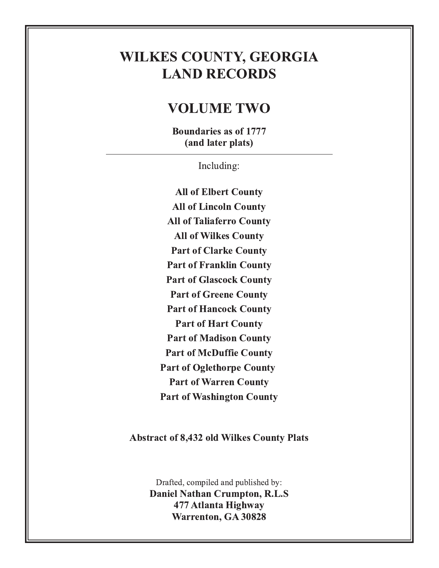# **WILKES COUNTY, GEORGIA LAND RECORDS**

### **VOLUME TWO**

**Boundaries as of 1777** (and later plats)

Including:

**All of Elbert County All of Lincoln County All of Taliaferro County All of Wilkes County Part of Clarke County Part of Franklin County Part of Glascock County Part of Greene County Part of Hancock County Part of Hart County Part of Madison County Part of McDuffie County Part of Oglethorpe County Part of Warren County Part of Washington County** 

**Abstract of 8,432 old Wilkes County Plats** 

Drafted, compiled and published by: **Daniel Nathan Crumpton, R.L.S** 477 Atlanta Highway **Warrenton, GA 30828**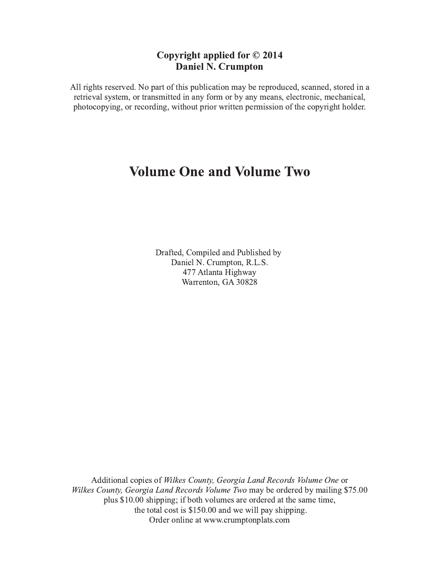#### Copyright applied for  $\odot$  2014 Daniel N. Crumpton

All rights reserved. No part of this publication may be reproduced, scanned, stored in a retrieval system, or transmitted in any form or by any means, electronic, mechanical, photocopying, or recording, without prior written permission of the copyright holder.

### Volume One and Volume Two

Drafted, Compiled and Published by Daniel N. Crumpton, R.L.S. 477 Atlanta Highway Warrenton, GA 30828

Additional copies of Wilkes County, Georgia Land Records Volume One or Wilkes County, Georgia Land Records Volume Two may be ordered by mailing \$75.00 plus \$10.00 shipping; if both volumes are ordered at the same time, the total cost is  $$150.00$  and we will pay shipping. Order online at www.crumptonplats.com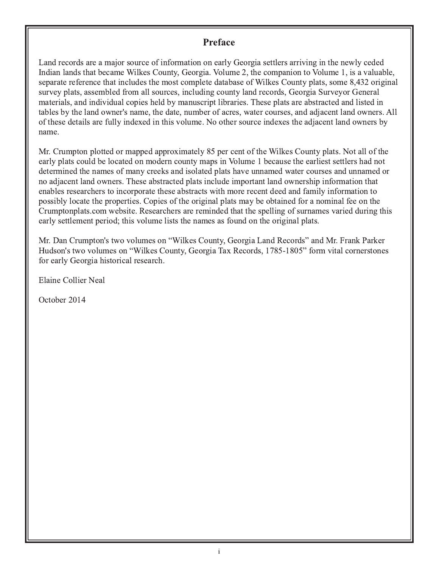#### **Preface**

Land records are a major source of information on early Georgia settlers arriving in the newly ceded Indian lands that became Wilkes County, Georgia. Volume 2, the companion to Volume 1, is a valuable, separate reference that includes the most complete database of Wilkes County plats, some 8,432 original survey plats, assembled from all sources, including county land records, Georgia Surveyor General materials, and individual copies held by manuscript libraries. These plats are abstracted and listed in tables by the land owner's name, the date, number of acres, water courses, and adjacent land owners. All of these details are fully indexed in this volume. No other source indexes the adjacent land owners by name.

Mr. Crumpton plotted or mapped approximately 85 per cent of the Wilkes County plats. Not all of the early plats could be located on modern county maps in Volume 1 because the earliest settlers had not determined the names of many creeks and isolated plats have unnamed water courses and unnamed or no adjacent land owners. These abstracted plats include important land ownership information that enables researchers to incorporate these abstracts with more recent deed and family information to possibly locate the properties. Copies of the original plats may be obtained for a nominal fee on the Crumptonplats.com website. Researchers are reminded that the spelling of surnames varied during this early settlement period; this volume lists the names as found on the original plats.

Mr. Dan Crumpton's two volumes on ''Wilkes County, Georgia Land Records'' and Mr. Frank Parker Hudson's two volumes on ''Wilkes County, Georgia Tax Records, 1785-1805'' form vital cornerstones for early Georgia historical research.

Elaine Collier Neal

October 2014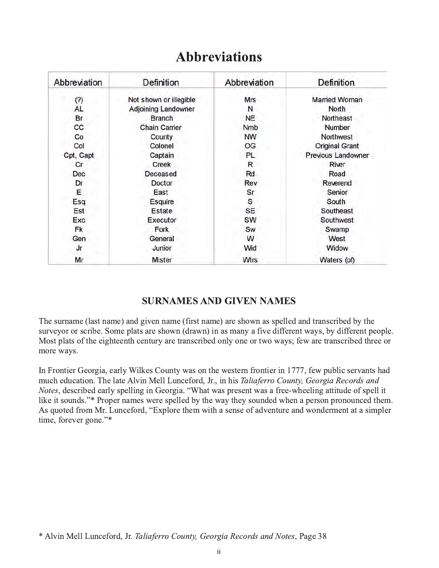| Abbreviation | Definition                 | Abbreviation | <b>Definition</b>     |
|--------------|----------------------------|--------------|-----------------------|
| (?)          | Not shown or illegible     | <b>Mrs</b>   | <b>Married Woman</b>  |
| AL.          | <b>Adjoining Landowner</b> | N            | North                 |
| Br           | <b>Branch</b>              | <b>NE</b>    | Northeast             |
| cc           | <b>Chain Carrier</b>       | Nmb          | Number                |
| Co           | County                     | <b>NW</b>    | <b>Northwest</b>      |
| Col          | Colonel                    | OG           | <b>Original Grant</b> |
| Cpt, Capt    | Captain                    | PL           | Previous Landowner    |
| Cr           | <b>Creek</b>               | R            | River                 |
| Dec          | Deceased                   | Rd           | Road                  |
| Dr           | Doctor                     | Rev          | Reverend              |
| Ε            | East                       | Sr           | Senior                |
| Esq          | Esquire                    | S            | South                 |
| Est          | <b>Estate</b>              | SE           | Southeast             |
| Exc          | Executor                   | SW           | Southwest             |
| Fk           | Fork                       | Sw           | Swamp                 |
| Gen          | General                    | W            | West                  |
| Jr           | Junior                     | Wid          | Widow                 |
| Mr           | <b>Mister</b>              | <b>Wtrs</b>  | Waters (of)           |

### **Abbreviations**

#### **SURNAMES AND GIVEN NAMES**

The surname (last name) and given name (first name) are shown as spelled and transcribed by the surveyor or scribe. Some plats are shown (drawn) in as many a five different ways, by different people. Most plats of the eighteenth century are transcribed only one or two ways; few are transcribed three or more ways.

In Frontier Georgia, early Wilkes County was on the western frontier in 1777, few public servants had much education. The late Alvin Mell Lunceford, Jr., in his Taliaferro County, Georgia Records and Notes, described early spelling in Georgia. "What was present was a free-wheeling attitude of spell it like it sounds."\* Proper names were spelled by the way they sounded when a person pronounced them. As quoted from Mr. Lunceford, "Explore them with a sense of adventure and wonderment at a simpler time, forever gone."\*

<sup>\*</sup> Alvin Mell Lunceford, Jr. Taliaferro County, Georgia Records and Notes, Page 38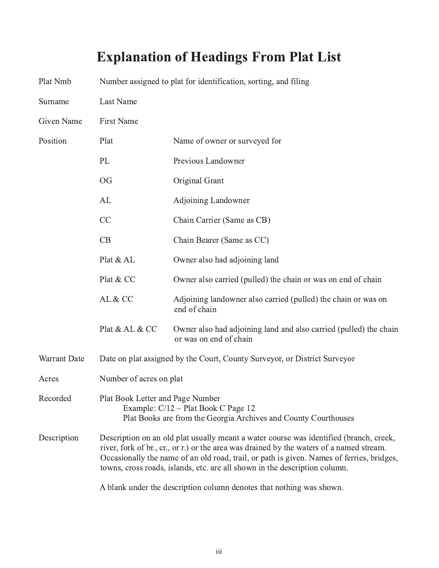# Explanation of Headings From Plat List

| Plat Nmb     | Number assigned to plat for identification, sorting, and filing                                                                                                                                                                                                                                                                                               |                                                                                             |  |  |
|--------------|---------------------------------------------------------------------------------------------------------------------------------------------------------------------------------------------------------------------------------------------------------------------------------------------------------------------------------------------------------------|---------------------------------------------------------------------------------------------|--|--|
| Surname      | Last Name                                                                                                                                                                                                                                                                                                                                                     |                                                                                             |  |  |
| Given Name   | <b>First Name</b>                                                                                                                                                                                                                                                                                                                                             |                                                                                             |  |  |
| Position     | Plat                                                                                                                                                                                                                                                                                                                                                          | Name of owner or surveyed for                                                               |  |  |
|              | PL                                                                                                                                                                                                                                                                                                                                                            | Previous Landowner                                                                          |  |  |
|              | <b>OG</b>                                                                                                                                                                                                                                                                                                                                                     | Original Grant                                                                              |  |  |
|              | AL                                                                                                                                                                                                                                                                                                                                                            | <b>Adjoining Landowner</b>                                                                  |  |  |
|              | CC                                                                                                                                                                                                                                                                                                                                                            | Chain Carrier (Same as CB)                                                                  |  |  |
|              | CB                                                                                                                                                                                                                                                                                                                                                            | Chain Bearer (Same as CC)                                                                   |  |  |
|              | Plat & AL                                                                                                                                                                                                                                                                                                                                                     | Owner also had adjoining land                                                               |  |  |
|              | Plat & CC                                                                                                                                                                                                                                                                                                                                                     | Owner also carried (pulled) the chain or was on end of chain                                |  |  |
|              | AL & CC                                                                                                                                                                                                                                                                                                                                                       | Adjoining landowner also carried (pulled) the chain or was on<br>end of chain               |  |  |
|              | Plat & AL & CC                                                                                                                                                                                                                                                                                                                                                | Owner also had adjoining land and also carried (pulled) the chain<br>or was on end of chain |  |  |
| Warrant Date | Date on plat assigned by the Court, County Surveyor, or District Surveyor                                                                                                                                                                                                                                                                                     |                                                                                             |  |  |
| Acres        | Number of acres on plat                                                                                                                                                                                                                                                                                                                                       |                                                                                             |  |  |
| Recorded     | Plat Book Letter and Page Number<br>Example: C/12 – Plat Book C Page 12<br>Plat Books are from the Georgia Archives and County Courthouses                                                                                                                                                                                                                    |                                                                                             |  |  |
| Description  | Description on an old plat usually meant a water course was identified (branch, creek,<br>river, fork of br., cr., or r.) or the area was drained by the waters of a named stream.<br>Occasionally the name of an old road, trail, or path is given. Names of ferries, bridges,<br>towns, cross roads, islands, etc. are all shown in the description column. |                                                                                             |  |  |
|              | A blank under the description column denotes that nothing was shown.                                                                                                                                                                                                                                                                                          |                                                                                             |  |  |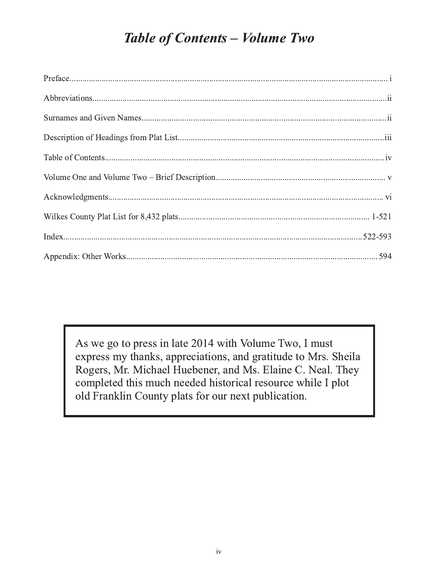## **Table of Contents - Volume Two**

As we go to press in late 2014 with Volume Two, I must express my thanks, appreciations, and gratitude to Mrs. Sheila Rogers, Mr. Michael Huebener, and Ms. Elaine C. Neal. They completed this much needed historical resource while I plot old Franklin County plats for our next publication.